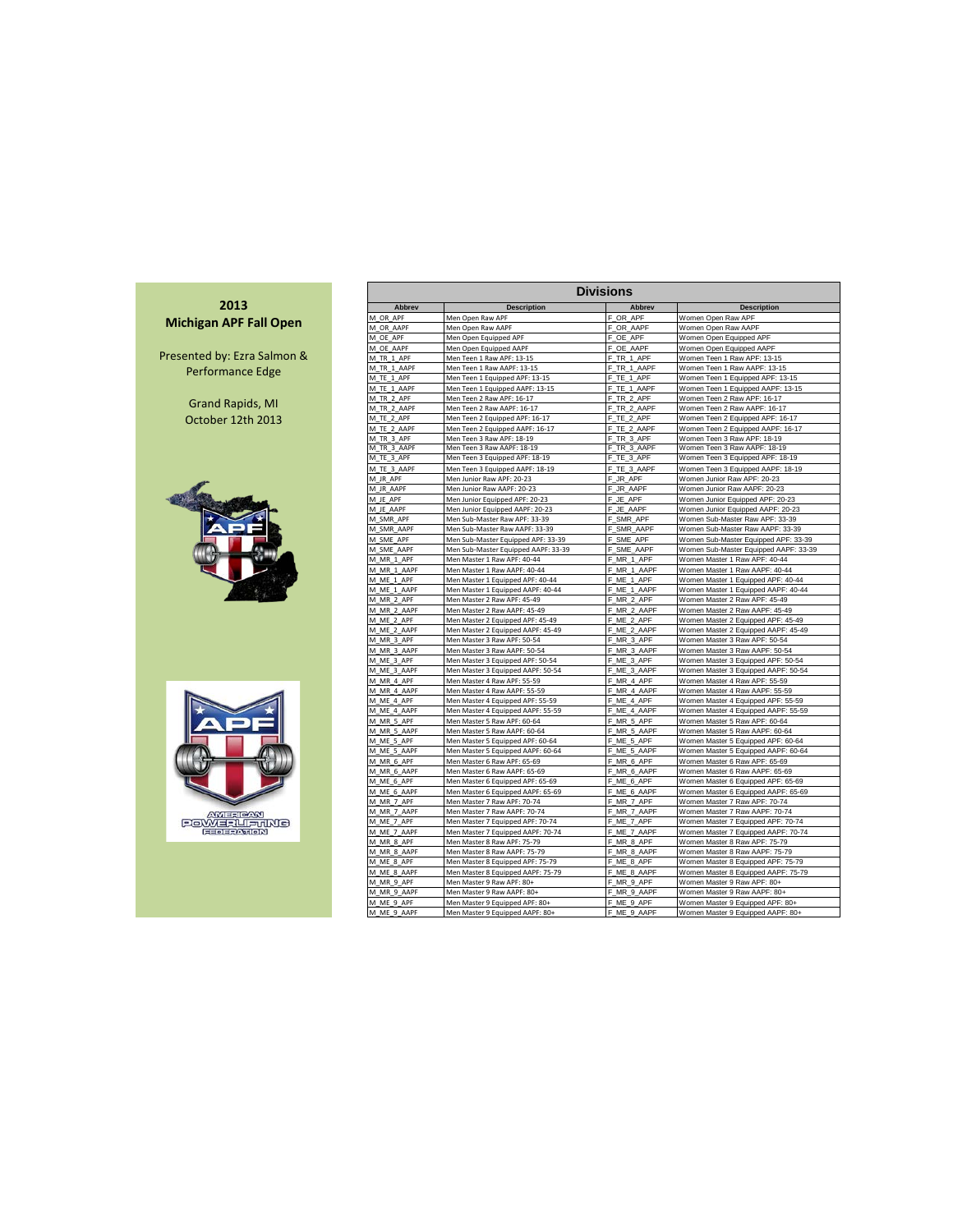

| <b>Divisions</b>          |                                                                  |                           |                                                                 |  |  |  |  |  |  |  |  |  |  |
|---------------------------|------------------------------------------------------------------|---------------------------|-----------------------------------------------------------------|--|--|--|--|--|--|--|--|--|--|
| Abbrev                    | <b>Description</b>                                               | Abbrev                    | <b>Description</b>                                              |  |  |  |  |  |  |  |  |  |  |
| M OR APF                  | Men Open Raw APF                                                 | F_OR_APF                  | Women Open Raw APF                                              |  |  |  |  |  |  |  |  |  |  |
| M OR AAPF                 | Men Open Raw AAPF                                                | F<br>OR AAPF              | Women Open Raw AAPF                                             |  |  |  |  |  |  |  |  |  |  |
| M OE APF                  | Men Open Equipped APF                                            | F<br>OE APF               | Women Open Equipped APF                                         |  |  |  |  |  |  |  |  |  |  |
| M OE AAPF                 | Men Open Equipped AAPF                                           | Ė.<br>OE AAPF             | Women Open Equipped AAPF                                        |  |  |  |  |  |  |  |  |  |  |
| M TR 1 APF                | Men Teen 1 Raw APF: 13-15                                        | F<br>TR <sub>1</sub> APF  | Women Teen 1 Raw APF: 13-15                                     |  |  |  |  |  |  |  |  |  |  |
| M TR 1 AAPF               | Men Teen 1 Raw AAPF: 13-15                                       | F_TR_1_AAPF               | Women Teen 1 Raw AAPF: 13-15                                    |  |  |  |  |  |  |  |  |  |  |
| M TE 1 APF                | Men Teen 1 Equipped APF: 13-15                                   | F<br>TE <sub>1</sub> APF  | Women Teen 1 Equipped APF: 13-15                                |  |  |  |  |  |  |  |  |  |  |
| M TE 1 AAPF               | Men Teen 1 Equipped AAPF: 13-15                                  | F<br>TE_1_AAPF            | Women Teen 1 Equipped AAPF: 13-15                               |  |  |  |  |  |  |  |  |  |  |
| M TR 2 APF                | Men Teen 2 Raw APF: 16-17                                        | Ë<br>TR 2 APF             | Women Teen 2 Raw APF: 16-17                                     |  |  |  |  |  |  |  |  |  |  |
| M TR 2 AAPF               | Men Teen 2 Raw AAPF: 16-17                                       | Ė.<br>TR 2 AAPF           | Women Teen 2 Raw AAPF: 16-17                                    |  |  |  |  |  |  |  |  |  |  |
| M TE 2 APF                | Men Teen 2 Equipped APF: 16-17                                   | F<br>TE 2 APF             | Women Teen 2 Equipped APF: 16-17                                |  |  |  |  |  |  |  |  |  |  |
| M TE 2 AAPF               | Men Teen 2 Equipped AAPF: 16-17                                  | F<br>TE 2 AAPF            | Women Teen 2 Equipped AAPF: 16-17                               |  |  |  |  |  |  |  |  |  |  |
| M_TR_3_APF                | Men Teen 3 Raw APF: 18-19                                        | F<br>TR 3 APF             | Women Teen 3 Raw APF: 18-19                                     |  |  |  |  |  |  |  |  |  |  |
| M TR 3 AAPF               | Men Teen 3 Raw AAPF: 18-19                                       | F TR 3 AAPF               | Women Teen 3 Raw AAPF: 18-19                                    |  |  |  |  |  |  |  |  |  |  |
| M_TE_3_APF                | Men Teen 3 Equipped APF: 18-19                                   | TE 3 APF                  | Women Teen 3 Equipped APF: 18-19                                |  |  |  |  |  |  |  |  |  |  |
| M TE 3 AAPF               | Men Teen 3 Equipped AAPF: 18-19                                  | F<br>TE 3 AAPF            | Women Teen 3 Equipped AAPF: 18-19                               |  |  |  |  |  |  |  |  |  |  |
| M JR APF                  | Men Junior Raw APF: 20-23                                        | JR APF<br>F               | Women Junior Raw APF: 20-23                                     |  |  |  |  |  |  |  |  |  |  |
| M JR AAPF                 | Men Junior Raw AAPF: 20-23                                       | F<br>JR AAPF              | Women Junior Raw AAPF: 20-23                                    |  |  |  |  |  |  |  |  |  |  |
| M JE APF                  | Men Junior Equipped APF: 20-23                                   | JE APF<br>F               | Women Junior Equipped APF: 20-23                                |  |  |  |  |  |  |  |  |  |  |
| M JE AAPF                 | Men Junior Equipped AAPF: 20-23                                  | F<br>JE AAPF              | Women Junior Equipped AAPF: 20-23                               |  |  |  |  |  |  |  |  |  |  |
| M SMR APF                 | Men Sub-Master Raw APF: 33-39                                    | SMR APF<br>F              | Women Sub-Master Raw APF: 33-39                                 |  |  |  |  |  |  |  |  |  |  |
| M SMR AAPF                | Men Sub-Master Raw AAPF: 33-39                                   | SMR_AAPF<br>F             | Women Sub-Master Raw AAPF: 33-39                                |  |  |  |  |  |  |  |  |  |  |
| M SME APF                 | Men Sub-Master Equipped APF: 33-39                               | F_SME_APF                 | Women Sub-Master Equipped APF: 33-39                            |  |  |  |  |  |  |  |  |  |  |
| M SME AAPF                | Men Sub-Master Equipped AAPF: 33-39                              | F SME AAPF                | Women Sub-Master Equipped AAPF: 33-39                           |  |  |  |  |  |  |  |  |  |  |
| M MR 1 APF                | Men Master 1 Raw APF: 40-44                                      | F<br>MR 1 APF<br>Ë        | Women Master 1 Raw APF: 40-44                                   |  |  |  |  |  |  |  |  |  |  |
| M MR 1 AAPF               | Men Master 1 Raw AAPF: 40-44                                     | MR 1 AAPF                 | Women Master 1 Raw AAPF: 40-44                                  |  |  |  |  |  |  |  |  |  |  |
| M_ME_1_APF                | Men Master 1 Equipped APF: 40-44                                 | F ME 1 APF                | Women Master 1 Equipped APF: 40-44                              |  |  |  |  |  |  |  |  |  |  |
| M ME_1_AAPF               | Men Master 1 Equipped AAPF: 40-44                                | F ME 1 AAPF               | Women Master 1 Equipped AAPF: 40-44                             |  |  |  |  |  |  |  |  |  |  |
| M MR 2 APF                | Men Master 2 Raw APF: 45-49                                      | F_MR_2_APF                | Women Master 2 Raw APF: 45-49<br>Women Master 2 Raw AAPF: 45-49 |  |  |  |  |  |  |  |  |  |  |
| M MR 2 AAPF<br>M ME 2 APF | Men Master 2 Raw AAPF: 45-49<br>Men Master 2 Equipped APF: 45-49 | F_MR_2_AAPF<br>F ME 2 APF | Women Master 2 Equipped APF: 45-49                              |  |  |  |  |  |  |  |  |  |  |
| M ME 2 AAPF               | Men Master 2 Equipped AAPF: 45-49                                | F<br>ME 2 AAPF            | Women Master 2 Equipped AAPF: 45-49                             |  |  |  |  |  |  |  |  |  |  |
| M_MR_3_APF                | Men Master 3 Raw APF: 50-54                                      | F<br>MR 3 APF             | Women Master 3 Raw APF: 50-54                                   |  |  |  |  |  |  |  |  |  |  |
| M MR 3 AAPF               | Men Master 3 Raw AAPF: 50-54                                     | F_MR_3_AAPF               | Women Master 3 Raw AAPF: 50-54                                  |  |  |  |  |  |  |  |  |  |  |
| M_ME_3_APF                | Men Master 3 Equipped APF: 50-54                                 | F_ME_3_APF                | Women Master 3 Equipped APF: 50-54                              |  |  |  |  |  |  |  |  |  |  |
| M ME 3 AAPF               | Men Master 3 Equipped AAPF: 50-54                                | F<br>ME 3 AAPF            | Women Master 3 Equipped AAPF: 50-54                             |  |  |  |  |  |  |  |  |  |  |
| M MR 4 APF                | Men Master 4 Raw APF: 55-59                                      | F_MR_4_APF                | Women Master 4 Raw APF: 55-59                                   |  |  |  |  |  |  |  |  |  |  |
| M MR 4 AAPF               | Men Master 4 Raw AAPF: 55-59                                     | F MR 4 AAPF               | Women Master 4 Raw AAPF: 55-59                                  |  |  |  |  |  |  |  |  |  |  |
| M ME 4 APF                | Men Master 4 Equipped APF: 55-59                                 | F<br>ME 4 APF             | Women Master 4 Equipped APF: 55-59                              |  |  |  |  |  |  |  |  |  |  |
| M ME 4 AAPF               | Men Master 4 Equipped AAPF: 55-59                                | F ME 4 AAPF               | Women Master 4 Equipped AAPF: 55-59                             |  |  |  |  |  |  |  |  |  |  |
| M MR 5 APF                | Men Master 5 Raw APF: 60-64                                      | F MR 5 APF                | Women Master 5 Raw APF: 60-64                                   |  |  |  |  |  |  |  |  |  |  |
| M MR 5 AAPF               | Men Master 5 Raw AAPF: 60-64                                     | F MR 5 AAPF               | Women Master 5 Raw AAPF: 60-64                                  |  |  |  |  |  |  |  |  |  |  |
| M ME 5 APF                | Men Master 5 Equipped APF: 60-64                                 | F ME 5 APF                | Women Master 5 Equipped APF: 60-64                              |  |  |  |  |  |  |  |  |  |  |
| M_ME_5_AAPF               | Men Master 5 Equipped AAPF: 60-64                                | F ME 5 AAPF               | Women Master 5 Equipped AAPF: 60-64                             |  |  |  |  |  |  |  |  |  |  |
| M MR 6 APF                | Men Master 6 Raw APF: 65-69                                      | F MR 6 APF                | Women Master 6 Raw APF: 65-69                                   |  |  |  |  |  |  |  |  |  |  |
| M MR 6 AAPF               | Men Master 6 Raw AAPF: 65-69                                     | F MR 6_AAPF               | Women Master 6 Raw AAPF: 65-69                                  |  |  |  |  |  |  |  |  |  |  |
| M ME 6 APF                | Men Master 6 Equipped APF: 65-69                                 | F_ME_6_APF                | Women Master 6 Equipped APF: 65-69                              |  |  |  |  |  |  |  |  |  |  |
| M ME 6 AAPF               | Men Master 6 Equipped AAPF: 65-69                                | F ME 6 AAPF               | Women Master 6 Equipped AAPF: 65-69                             |  |  |  |  |  |  |  |  |  |  |
| M MR 7 APF                | Men Master 7 Raw APF: 70-74                                      | F<br>MR 7 APF             | Women Master 7 Raw APF: 70-74                                   |  |  |  |  |  |  |  |  |  |  |
| M MR 7 AAPF               | Men Master 7 Raw AAPF: 70-74                                     | F<br>MR 7 AAPF            | Women Master 7 Raw AAPF: 70-74                                  |  |  |  |  |  |  |  |  |  |  |
| M ME 7 APF                | Men Master 7 Equipped APF: 70-74                                 | F_ME_7_APF                | Women Master 7 Equipped APF: 70-74                              |  |  |  |  |  |  |  |  |  |  |
| M_ME_7_AAPF               | Men Master 7 Equipped AAPF: 70-74                                | F_ME_7_AAPF               | Women Master 7 Equipped AAPF: 70-74                             |  |  |  |  |  |  |  |  |  |  |
| M MR 8 APF                | Men Master 8 Raw APF: 75-79                                      | F<br>MR 8 APF             | Women Master 8 Raw APF: 75-79                                   |  |  |  |  |  |  |  |  |  |  |
| M MR 8 AAPF               | Men Master 8 Raw AAPF: 75-79                                     | F<br>MR 8 AAPF            | Women Master 8 Raw AAPF: 75-79                                  |  |  |  |  |  |  |  |  |  |  |
| M ME 8 APF                | Men Master 8 Equipped APF: 75-79                                 | F ME 8 APF                | Women Master 8 Equipped APF: 75-79                              |  |  |  |  |  |  |  |  |  |  |
| M ME 8 AAPF               | Men Master 8 Equipped AAPF: 75-79                                | F ME 8 AAPF               | Women Master 8 Equipped AAPF: 75-79                             |  |  |  |  |  |  |  |  |  |  |
| M MR 9 APF                | Men Master 9 Raw APF: 80+                                        | F_MR_9_APF                | Women Master 9 Raw APF: 80+                                     |  |  |  |  |  |  |  |  |  |  |
| M MR 9 AAPF               | Men Master 9 Raw AAPF: 80+                                       | F MR 9 AAPF               | Women Master 9 Raw AAPF: 80+                                    |  |  |  |  |  |  |  |  |  |  |
| M ME 9 APF                | Men Master 9 Equipped APF: 80+                                   | F ME 9 APF                | Women Master 9 Equipped APF: 80+                                |  |  |  |  |  |  |  |  |  |  |
| M ME 9 AAPF               | Men Master 9 Equipped AAPF: 80+                                  | F_ME_9_AAPF               | Women Master 9 Equipped AAPF: 80+                               |  |  |  |  |  |  |  |  |  |  |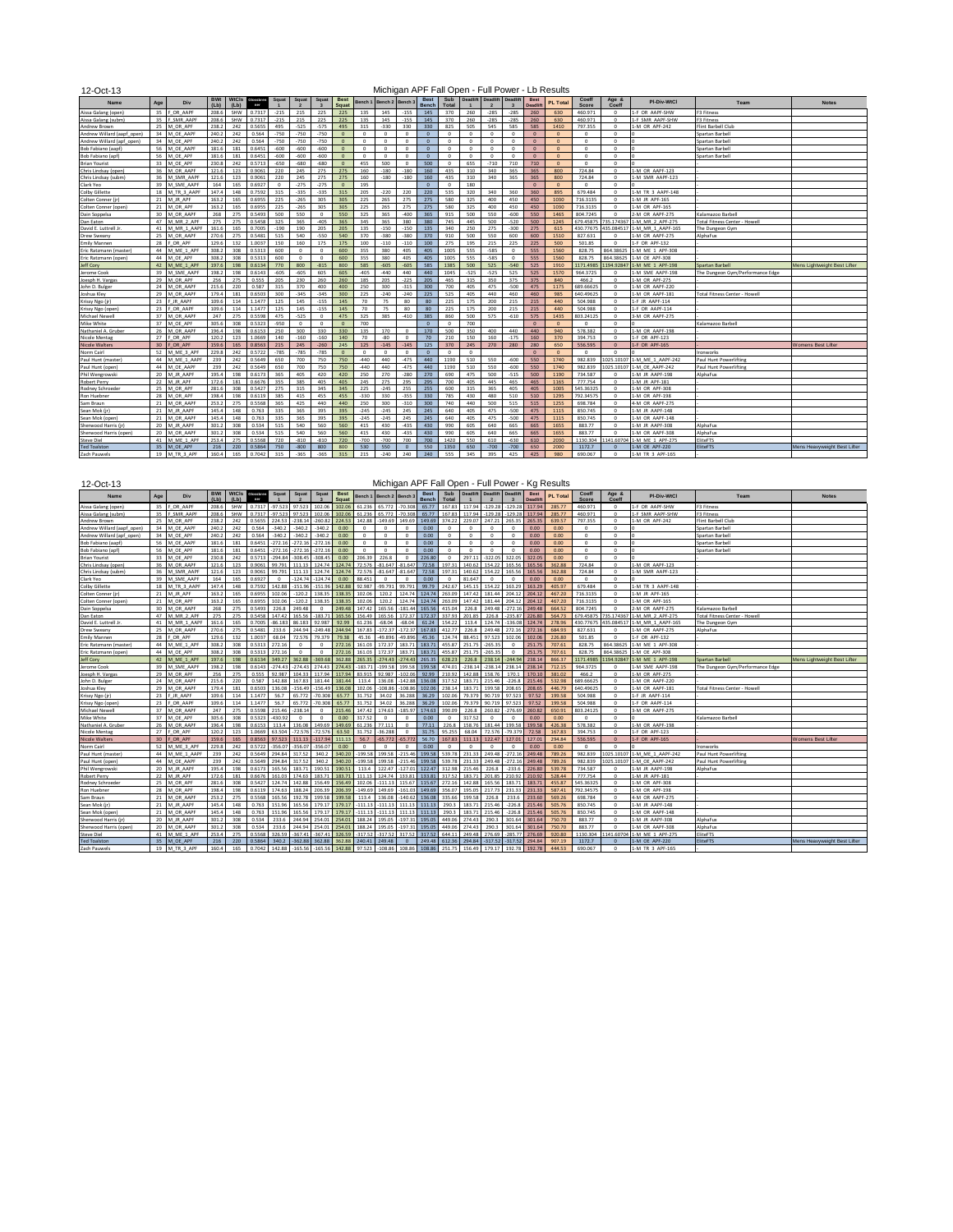12-Oct-13

## Michigan APF Fall Open - Full Power - Lb Results

| <b>Name</b>                | Age             | Div                 | <b>BWt</b> | WtCls | Glossbren<br>mer | Squat    | Squat      | Squat      | <b>Best</b>  | Bench 1  | Bench 2  | Bench 3  | <b>Best</b> | Sub      | <b>Deadlift</b> | <b>Deadlift</b> | Deadlift   | Best<br><b>Deadlift</b> | <b>PL Total</b> | Coeff      | Age &<br>$C_{\alpha\alpha}$ | <b>PI-Div-WtCl</b>        | Team                                 | <b>Notes</b>                 |
|----------------------------|-----------------|---------------------|------------|-------|------------------|----------|------------|------------|--------------|----------|----------|----------|-------------|----------|-----------------|-----------------|------------|-------------------------|-----------------|------------|-----------------------------|---------------------------|--------------------------------------|------------------------------|
| Aissa Galang (open         | 35              | OR AAPF             | 208.6      | SHW   | 0.7317           | $-215$   | 215        | 225        | 225          | 135      | 145      | $-155$   | 145         | 370      | 260             | $-285$          | $-285$     | 260                     | 630             | 460.971    | $^{\circ}$                  | 1-F OR AAPF-SHW           | <b>F3 Fitness</b>                    |                              |
| Aissa Galang (subm)        | 35              | SMR AAPF            | 208.6      | SHW   | 0.7317           | $-215$   | 215        | 225        | 225          | 135      | 145      | $-155$   | 145         | 370      | 260             | $-285$          | $-285$     | 260                     | 630             | 460.971    | $\Omega$                    | 1-F SMR AAPF-SHW          | <b>F3 Fitness</b>                    |                              |
| Andrew Brown               | 25              | M OR APF            | 238.2      | 242   | 0.5655           | 495      | $-525$     | $-575$     | 495          | 315      | $-330$   | 330      | 330         | 825      | 505             | 545             | 585        | 585                     | 1410            | 797.355    | $^{\circ}$                  | 1-M OR APF-242            | Flint Barbell Club                   |                              |
| Andrew Willard (aapf_open) | 34              | M OE AAPI           | 240.2      | 242   | 0.564            | $-750$   | $-750$     | $-750$     | $\circ$      | $\circ$  | $\Omega$ | $\Omega$ | $\theta$    | $\circ$  | $^{\circ}$      | $\circ$         | $^{\circ}$ | $\mathbf{0}$            | $\Omega$        | $^{\circ}$ | $\Omega$                    |                           | Spartan Barbell                      |                              |
| Andrew Willard (apf open   | 34              | M OE APF            | 240.2      | 242   | 0.564            | $-750$   | $-750$     | $-750$     | $\Omega$     | $\Omega$ | $\Omega$ | $\Omega$ | $\Omega$    | $\Omega$ | $^{\circ}$      | $\Omega$        | $\Omega$   | $\Omega$                | $\Omega$        | $\Omega$   | $\Omega$                    |                           | Spartan Barbell                      |                              |
| Bob Fabiano (aapf          | 56              | M OE AAPI           | 181.6      | 181   | 0.6451           | $-600$   | $-600$     | $-600$     | $\mathbf{0}$ | $\Omega$ | $\Omega$ | $\Omega$ | $\theta$    | $\Omega$ | $^{\circ}$      | $\overline{0}$  | $^{\circ}$ | $\mathbf{0}$            | $\Omega$        | $\Omega$   | $\Omega$                    | In                        | Spartan Barbell                      |                              |
| Bob Fabiano (apf           | 56              | M OE APF            | 181.6      | 181   | 0.6451           | $-600$   | $-600$     | $-600$     | $\Omega$     | $\Omega$ | $\Omega$ | $\Omega$ | $\Omega$    | $\Omega$ | $\Omega$        | $\Omega$        | $\Omega$   | $\Omega$                | $\Omega$        | $\Omega$   | $\Omega$                    |                           | Spartan Barbell                      |                              |
| <b>Brian Yourist</b>       | 33              | M OE APF            | 230.8      | 242   | 0.5713           | $-650$   | $-680$     | $-680$     | $\Omega$     | 455      | 500      | $\Omega$ | 500         | $\Omega$ | 655             | $-710$          | 710        | 710                     | $\sqrt{2}$      | $\Omega$   | $\Omega$                    |                           |                                      |                              |
| Chris Lindsay (open        | 36              | M OR AAPF           | 121.6      | 123   | 0.9061           | 220      | 245        | 275        | 275          | 160      | -180     | $-180$   | 160         | 435      | 310             | 340             | 365        | 365                     | 800             | 724.84     | $\Omega$                    | 1-M OR AAPF-123           |                                      |                              |
| Chris Lindsay (subm)       | 36              | M SMR AAPF          | 121.6      | 123   | 0.9061           | 220      | 245        | 275        | 275          | 160      | -180     | $-180$   | 160         | 435      | 310             | 340             | 365        | 365                     | 800             | 724.84     | $\Omega$                    | 1-M SMR AAPF-123          |                                      |                              |
| Clark Yeo                  | 39              | M SME AAPF          | 164        | 165   | 0.6927           | $\Omega$ | $-275$     | $-275$     | $\Omega$     | 195      |          |          | $\Omega$    | $\Omega$ | 180             |                 |            | $\Omega$                | $\Omega$        | $^{\circ}$ | $\Omega$                    |                           |                                      |                              |
| <b>Colby Gillette</b>      | 18              | M TR 3 AAPF         | 147.4      | 148   | 0.7592           | 315      | $-335$     | $-335$     | 315          | 205      | $-220$   | 220      | 220         | 535      | 320             | 340             | 360        | 360                     | 895             | 679,484    | $\Omega$                    | 1-M TR 3 AAPF-148         |                                      |                              |
| Colten Conner (in          | 21              | M JR APF            | 163.2      | 165   | 0.6955           | 225      | $-265$     | 305        | 305          | 225      | 265      | 275      | 275         | 580      | 325             | 400             | 450        | 450                     | 1030            | 716.3135   | $\Omega$                    | 1-M JR APF-165            |                                      |                              |
| Colten Conner (open)       | 21              | M OR APF            | 163.2      | 165   | 0.6955           | 225      | $-265$     | 305        | 305          | 225      | 265      | 275      | 275         | 580      | 325             | 400             | 450        | 450                     | 1030            | 716.3135   | $\Omega$                    | 1-M OR APF-165            |                                      |                              |
| Dain Soppelsa              | 30              | M OR AAPF           | 268        | 275   | 0.5493           | 500      | 550        | $^{\circ}$ | 550          | 325      | 365      | $-400$   | 365         | 915      | 500             | 550             | -600       | 550                     | 1465            | 804.7245   | $\Omega$                    | 2-M OR AAPF-275           | Kalamazoo Barbel                     |                              |
| Dan Eaton                  | 47              | MR <sub>2</sub> APR | 275        | 275   | 0.5458           | 325      | 365        | $-405$     | 365          | 345      | 365      | 380      | 380         | 745      | 445             | 500             | $-520$     | 500                     | 1245            | 679.45875  | 735.174367                  | 1-M MR 2 APF-275          | <b>Total Fitness Center - Howell</b> |                              |
| David E. Luttrell Jr       | 41              | M MR 1 AAPF         | 161.6      | 165   | 0.7005           | 190      | 190        | 205        | 205          | 135      | -150     | $-150$   | 135         | 340      | 250             | 275             | -300       | 275                     | 615             | 430.77675  | 135 084517                  | -M MR 1 AAPF-165          | The Dungeon Gym                      |                              |
| Drew Swean                 | 25              | M OR AAPF           | 270.6      | 275   | 0.5481           | 515      | 540        | $-550$     | 540          | 370      | -380     | -380     | 370         | 910      | 500             | 550             | 600        | 600                     | 1510            | 827.631    | $\Omega$                    | 1-M OR AAPF-275           | AlphaFux                             |                              |
| <b>Emily Manner</b>        | 28              | OR APF              | 129.6      | 132   | 1.0037           | 150      | 160        | 175        | 175          | 100      | $-110$   | $-110$   | 100         | 275      | 195             | 215             | 225        | 225                     | 500             | 501.85     | $\Omega$                    | -F OR APF-132             |                                      |                              |
| Eric Ratzmann (master)     | 44              | M ME 1 APF          | 308.2      | 308   | 0.5313           | 600      | $^{\circ}$ | $\Omega$   | 600          | 355      | 380      | 405      | 405         | 1005     | 555             | $-585$          | $^{\circ}$ | 555                     | 1560            | 828.75     | 864.38625                   | 1-M ME 1 APF-308          |                                      |                              |
| Eric Ratzmann (open)       | 44              | M OE APF            | 308.2      | 308   | 0.5313           | 600      | $\Omega$   | $\Omega$   | 600          | 355      | 380      | 405      | 405         | 1005     | 555             | $-585$          | $\circ$    | 555                     | 1560            | 828.75     | 864.38625                   | -M OE APF-308             |                                      |                              |
| Jeff Corv                  | 42              | M ME 1 APF          | 197.6      | 198   | 0.6134           | 770      | 800        | $-815$     | 800          | 585      | $-605$   | $-605$   | 585         | 1385     | 500             | 525             | $-540$     | 525                     | 1910            | 1171.4985  | 194.92847 1                 | -M ME 1 APF-198           | Spartan Barbell                      | Mens Lightweight Best Lifter |
| Jerome Cook                | 39              | M SME AAP           | 198.2      | 198   | 0.6143           | $-605$   | $-605$     | 605        | 605          | $-405$   | $-440$   | 440      | 440         | 1045     | $-525$          | $-525$          | 525        | 525                     | 1570            | 964.3725   | $\Omega$                    | -M SME AAPF-198           | The Dungeon Gym/Performance Edge     |                              |
| Joesph H. Vargas           | 29              | M OR APF            | 256        | 275   | 0.555            | 205      | 230        | 260        | 260          | 185      | 205      | $-225$   | 205         | 465      | 315             | 350             | 375        | 375                     | 840             | 466.2      | $\Omega$                    | 1-M OR APF-275            |                                      |                              |
| John D. Bulge              | 74              | M OR AAPR           | 215.6      | 220   | 0.587            | 315      | 370        | 400        | 400          | 250      | 300      | $-315$   | 300         | 700      | 405             | 475             | -500       | 475                     | 1175            | 689.66625  | $\Omega$                    | 1-M OR AAPF-220           |                                      |                              |
| Joshua Kley                | 29              | M OR AAPI           | 179.4      | 181   | 0.6503           | 300      | $-345$     | $-345$     | 300          | 225      | $-240$   | $-240$   | 225         | 525      | 405             | 440             | 460        | 460                     | 985             | 640.49625  | $\Omega$                    | 1-M OR AAPF-181           | <b>Total Fitness Center - Howel</b>  |                              |
| Krissy Ngo (jr             | 23              | JR AAPF             | 109.6      | 114   | 1.1477           | 125      | 145        | $-155$     | 145          | 70       | 75       | 80       | 80          | 225      | 175             | 200             | 215        | 215                     | 440             | 504.988    | $\Omega$                    | 1-F JR AAPF-114           |                                      |                              |
| Krissy Ngo (open           | 23              | OR AAPF             | 109.6      | 114   | 1.1477           | 125      | 145        | $-155$     | 145          | 70       | 75       | 80       | 80          | 225      | 175             | 200             | 215        | 215                     | 440             | 504.988    | $\Omega$                    | 1-F OR AAPF-114           |                                      |                              |
| Michael Newel              | 37              | <b>VI OR AAPI</b>   | 247        | 275   | 0.5598           | 475      | $-525$     | $\Omega$   | 475          | 325      | 385      | $-410$   | 385         | 860      | 500             | 575             | $-610$     | 575                     | 1435            | 303.24125  | $\Omega$                    | 3-M OR AAPF-275           |                                      |                              |
| Mike White                 | 37              | M OE APF            | 305.6      | 308   | 0.5323           | $-950$   | $\Omega$   | $\Omega$   | $\Omega$     | 700      |          |          | $\Omega$    | $\Omega$ | 700             |                 |            | $\Omega$                | $\Omega$        | $^{\circ}$ | $\Omega$                    |                           | Kalamazoo Barbel                     |                              |
| Nathaniel A. Grube         | 26              | M OR AAP            | 196.4      | 198   | 0.6153           | 250      | 300        | 330        | 330          | 135      | 170      |          | 170         | 500      | 350             | 400             | 440        | 440                     | 940             | 578.382    | $\Omega$                    | -M OR AAPF-198            |                                      |                              |
| Nicole Menta               | 27              | OR APF              | 120.2      | 123   | 1.0669           | 140      | $-160$     | $-160$     | 140          | 70       | $-80$    | $\Omega$ | 70          | 210      | 150             | 160             | $-175$     | 160                     | 370             | 394,753    | $\Omega$                    | 1-F OR APF-123            |                                      |                              |
| <b>Nicole Walter</b>       | 30 <sub>0</sub> | OR APE              | 159.6      |       |                  | 215      | 245        | $-260$     | 245          | 125      | $-145$   | 145      | 125         | 370      | 245             | 270             | 280        | 280                     | 650             | 556.595    |                             | -F OR APF-165             |                                      | Vomens Best Lifte            |
| Norm Cairl                 | 52              | M ME 3 API          | 229.8      | 242   | 0.5722           | $-785$   | $-785$     | $-785$     | $\Omega$     | $\Omega$ | $\Omega$ | $\Omega$ | $\Omega$    | $\Omega$ | $\Omega$        |                 |            | $\Omega$                | $\Omega$        | $\Omega$   | $\Omega$                    |                           | Ironworks                            |                              |
| Paul Hunt (master          | 44              | M ME 1 AAPF         | 239        | 242   | 0.5649           | 650      | 700        | 750        | 750          | $-440$   | 440      | 475      | 440         | 1190     | 510             | 550             | $-600$     | 550                     | 1740            | 982.839    | 025.1010                    | -M ME 1 AAPF-242          | Paul Hunt Powerliftin                |                              |
| Paul Hunt (open)           | 44              | M OE AAPF           | 239        | 242   | 0.5649           | 650      | 700        | 750        | 750          | $-440$   | 440      | $-475$   | 440         | 1190     | 510             | 550             | $-600$     | 550                     | 1740            | 982.839    |                             | 025.10107 1-M OE AAPF-242 | Paul Hunt Powerlifting               |                              |
| Phil Wengrowski            | 20              | M JR AAPF           | 195.4      | 198   | 0.6173           | 365      | 405        | 420        | 420          | 250      | 270      | $-280$   | 270         | 690      | 475             | 500             | $-515$     | 500                     | 1190            | 734.587    | $\Omega$                    | -M JR AAPF-198            | AlphaFux                             |                              |
| <b>Robert Perry</b>        | 22              | M JR APF            | 172.6      | 181   | 0.6676           | 355      | 385        | 405        | 405          | 245      | 275      | 295      | 295         | 700      | 405             | 445             | 465        | 465                     | 1165            | 777,754    | $^{\circ}$                  | 1-M JR APF-181            |                                      |                              |
| Rodney Schroeder           | 25              | M OR APF            | 281.6      | 308   | 0.5427           | 275      | 315        | 345        | 345          | 225      | $-245$   | 255      | 255         | 600      | 315             | 365             | 405        | 405                     | 1005            | 545.36325  | $\Omega$                    | 1-M OR APF-308            |                                      |                              |
| Ron Huebne                 | 28              | M OR APF            | 198.4      | 198   | 0.6119           | 385      | 415        | 455        | 455          | $-330$   | 330      | $-355$   | 330         | 785      | 430             | 480             | 510        | 510                     | 1295            | 792.34575  | $^{\circ}$                  | 1-M OR APF-198            |                                      |                              |
| Sam Braun                  | 21              | M OR AAPI           | 253.2      | 275   | 0.5568           | 365      | 425        | 440        | 440          | 250      | 300      | $-310$   | 300         | 740      | 440             | 500             | 515        | 515                     | 1255            | 698,784    | $\Omega$                    | 4-M OR AAPF-275           |                                      |                              |
| Sean Mok (ir)              | 21              | M JR AAPF           | 145.4      | 148   | 0.763            | 335      | 365        | 395        | 395          | $-245$   | $-245$   | 245      | 245         | 640      | 405             | 475             | $-500$     | 475                     | 1115            | 850.745    | $\Omega$                    | 1-M JR AAPF-148           |                                      |                              |
| Sean Mok (open             | 21              | M OR AAPI           | 145.4      | 148   | 0.763            | 335      | 365        | 395        | 395          | $-245$   | $-245$   | 245      | 245         | 640      | 405             | 475             | -500       | 475                     | 1115            | 850.745    | $\Omega$                    | 1-M OR AAPF-148           |                                      |                              |
| Sherwood Harris (in        | 20              | M JR AAPF           | 301.2      | 308   | 0.534            | 515      | 540        | 560        | 560          | 415      | 430      | $-435$   | 430         | 990      | 605             | 640             | 665        | 665                     | 1655            | 883.77     | $\Omega$                    | 1-M JR AAPF-308           | AlphaFux                             |                              |
| Sherwood Harris (open      | 20              | M OR AAPI           | 301.2      | 308   | 0.534            | 515      | 540        | 560        | 560          | 415      | 430      | $-435$   | 430         | 990      | 605             | 640             | 665        | 665                     | 1655            | 883.77     | $\Omega$                    | 1-M OR AAPF-308           | AlphaFux                             |                              |
| <b>Steve Diel</b>          | 41              | M ME 1 API          | 253.4      | 275   | 0.5568           | 720      | $-810$     | $-810$     | 720          | $-700$   | $-700$   | 700      | 700         | 1420     | 550             | 610             | $-630$     | 610                     | 2030            | 1130.304   | 141.60704                   | -M ME 1 APF-275           | EliteFTS                             |                              |
| <b>Ted Toalston</b>        | 35              | M OE APF            | 216        | 220   | 0.5864           | 750      | $-800$     | 800        | 800          | 530      | 550      | $\Omega$ | 550         | 1350     | 650             | $-700$          | $-700$     | 650                     | 2000            | 1172.7     |                             | 1-M OE APF-220            | <b>EliteFTS</b>                      | Mens Heavyweight Best Lifter |
| Zach Pauwels               | 19              | M TR 3 APF          | 160.4      | 165   | 0.7042           | 315      | $-365$     | $-365$     | 315          | 215      | $-240$   | 240      | 240         | 555      | 345             | 395             | 425        | 425                     | 980             | 690.067    | $^{\circ}$                  | 1-M TR 3 APF-165          |                                      |                              |
|                            |                 |                     |            |       |                  |          |            |            |              |          |          |          |             |          |                 |                 |            |                         |                 |            |                             |                           |                                      |                              |

12-Oct-13

## Michigan APF Fall Open - Full Power - Kg Results

| Name                      | Age | Div                     | DWL          | <b>MIC12</b><br>(Lb) | Slosabre<br>ner | Squat     | Squat      | Squat     | <b>Des</b><br>Squat | Bench 1    | Bench 2    | Bench:       | pest<br>Bench    | <b>SUD</b><br>Total | Deadlift   | Deadirtt     | Deadlift   | <b>Best</b><br>Deadlif | <b>PL Total</b> | COGIL<br>Score | age a<br>Coeff | <b>PI-Div WtCl</b> | Team                                 | <b>Notes</b>                 |
|---------------------------|-----|-------------------------|--------------|----------------------|-----------------|-----------|------------|-----------|---------------------|------------|------------|--------------|------------------|---------------------|------------|--------------|------------|------------------------|-----------------|----------------|----------------|--------------------|--------------------------------------|------------------------------|
| Aissa Galang (open)       | 35  | OR AAPF                 | 208.6        | SHW                  | 0.7317          | $-97.523$ | 97.523     | 102.06    | 102.06              | 61.236     | 65,772     | $-70.308$    | 65.77            | 167.83              | 117.94     | 129.28       | $-129.28$  | 117.94                 | 285.77          | 460.971        | $\circ$        | 1-F OR AAPF-SHW    | <b>F3 Fitness</b>                    |                              |
| Aissa Galang (subm)       | 35  | SMR AAPF                | 208.6        | SHW                  | 0.7317          | $-97.523$ | 97.523     | 102.06    | 102.06              | 61.236     | 65.772     | $-70.308$    | 65.77            | 167.83              | 117.94     | 129.28       | $-129.21$  | 117.94                 | 285.77          | 460.971        | $\Omega$       | L-F SMR AAPF-SHW   | F3 Fitness                           |                              |
| Andrew Brown              | 25  | M OR APF                | 238.2        | 242                  | 0.5655          | 224.53    | $-238.14$  | $-260.82$ | 224.53              | 142.88     | $-149.69$  | 149.69       | 149.69           | 374.22              | 229.07     | 247.21       | 265.35     | 265.35                 | 639.57          | 797.355        | $\Omega$       | I-M OR APF-242     | Flint Barbell Club                   |                              |
| Andrew Willard (aapf_open | 34  | <b>M OE AAPI</b>        | 240.2        | 242                  | 0.564           | 340.2     | $-340.2$   | 340.2     | 0.00                | $\Omega$   | $\Omega$   | $\Omega$     | 0.00             | $\Omega$            | $\Omega$   | $\Omega$     | $\Omega$   | 0.00                   | 0.00            | $^{\circ}$     | $\Omega$       |                    | Spartan Barbel                       |                              |
| Andrew Willard (apf open  | 34  | M OE APF                | 240.2        | 242                  | 0.564           | $-340.2$  | $-340.2$   | $-340.2$  | 0.00                | $\circ$    | $^{\circ}$ | $\circ$      | 0.00             | $\circ$             | $^{\circ}$ | $\circ$      | $^{\circ}$ | 0.00                   | 0.00            | $\circ$        | $\Omega$       |                    | Spartan Barbell                      |                              |
| Bob Fabiano (aapf)        | 56  | <b>M OE AAPI</b>        | 181.6        | 181                  | 0.6451          | 272 16    | 272.16     | 272.16    | n nn                | $\Omega$   | $\Omega$   | $\Omega$     | 0.00             | $\Omega$            | $\circ$    | $\Omega$     | $\Omega$   | 0.00                   | 0.00            | $\mathbf{0}$   | C.             |                    | Spartan Barbell                      |                              |
| Bob Fabiano (apf          | 56  | <b>M OE APF</b>         | 181.6        | 181                  | 0.6451          | $-272.16$ | $-272.16$  | $-272.16$ | 0.00                | $\circ$    | $^{\circ}$ | $\circ$      | 0.00             | $^{\circ}$          | $^{\circ}$ | $\Omega$     | $\Omega$   | 0.00                   | 0.00            | $\circ$        | $\Omega$       |                    | Spartan Barbell                      |                              |
| <b>Brian Yourist</b>      | 33  | <b>M OE APF</b>         | 230.8        | 242                  | 0.5713          | 294.84    | 308.45     | 308.45    | 0.001               | 206.39     | 226.8      | $\mathbf{a}$ | 226.80           | $\Omega$            | 297.11     | 322.05       | 322.05     | 322.0                  | 0.00            | $\Omega$       | $\sqrt{2}$     |                    |                                      |                              |
| Chris Lindsay (open)      | 36  | <b>A OR AAPR</b>        | 121.6        | 123                  | 0.9061          | 99.791    | 111.13     | 124.74    | 124.74              | 72.576     | $-81.647$  | $-81.64$     | 72.58            | 197.31              | 140.62     | 154.22       | 165.56     | 165.56                 | 362.88          | 724.84         | $\Omega$       | -M OR AAPF-123     |                                      |                              |
| Chris Lindsay (subm)      | 26  | A SMR AAPF              | 121.6        | 123                  | 1,9061          | 99.791    | 111 13     | 124 74    | 24.74               | 72.576     | 81.647     | 81.647       | 72.58            | 197.31              | 140.62     | 154.22       | 65.56      | 165.56                 | 362.88          | 724.84         | $\Omega$       | -M SMR AAPF-123    |                                      |                              |
| Clark Yeo                 | 39  | A SME AAPF              | 164          | 165                  | 0.6927          | $\circ$   | $-124.74$  | $-124.74$ | 0.00                | 88.451     | $^{\circ}$ | $\mathbf{0}$ | 0.00             | $\circ$             | 81.647     | $\mathbf{0}$ | $\circ$    | 0.00                   | 0.00            | $\circ$        | $\Omega$       |                    |                                      |                              |
| Colby Gillette            | 18  | A TR 3 AAPF             | 147.4        | 148                  | 0.7592          | 142.88    | 151.96     | $-151.96$ | 142.88              | 92.987     | 99.791     | 99.791       | 99.79            | 242.67              | 145.15     | 154.22       | 163.29     | 163.29                 | 405.97          | 679.484        | $\sim$         | -M TR 3 AAPF-148   |                                      |                              |
| Colten Conner (in         | 21  | <b>M JR APF</b>         | 163.2        | 165                  | 0.6955          | 102.06    | $-120.2$   | 138.35    | 138.35              | 102.06     | 120.2      | 124.74       | 124.74           | 263.09              | 147.42     | 181.44       | 204.12     | 204.12                 | 467.20          | 716.3135       | $\Omega$       | -M JR APF-165      |                                      |                              |
| Colten Conner (open       | 21  | A OR APF                | 163.2        | 165                  | 0.6955          | 102.06    | 120.2      | 138.35    | 138.35              | 102.06     | 120.2      | 124.74       | 124.74           | 263.09              | 147.42     | 181.44       | 204.12     | 204.12                 | 467.20          | 716.3135       |                | -M OR APF-165      |                                      |                              |
| Dain Soppelsa             | 30  | <b><i>A</i></b> OR AAPF | 268          | 275                  | 0.5493          | 226.8     | 249.48     | $\Omega$  | 249.48              | 147.42     | 165.56     | $-181.44$    | 165.56           | 415.04              | 226.8      | 249.48       | $-272.16$  | 249.48                 | 664.52          | 804.7245       | $\Omega$       | M OR AAPF-275      | Kalamazoo Barbel                     |                              |
| Dan Eaton                 | 47  | A MR 2 APF              | 275          | 275                  | 0.5458          | 147.42    | 165.56     | $-183.71$ | 165.56              | 156.49     | 165.56     | 172.37       | 172.37           | 337.93              | 201.85     | 226.8        | $-235.87$  | 226.80                 | 564.73          | 679.45875      | 735.174367     | 1-M MR 2 APF-275   | <b>Total Fitness Center - Howell</b> |                              |
| David E. Luttrell Jr      | 41  | <b>MR 1 AAPF</b>        | 161.6        | 165                  | 0.7005          | $-86.183$ | 86.183     | 92.987    | 92.99               | 61.236     | $-68.04$   | $-68.04$     | 61.24            | 154.22              | 113.4      | 124.74       | $-136.08$  | 124.74                 | 278.96          | 430.77675      | 135.084517     | I-M MR 1 AAPF-165  | The Dungeon Gym                      |                              |
| Drew Swean                | 25  | <b>A OR AAPF</b>        | 270.6        | 275                  | 0.5481          | 233.6     | 244.94     | $-249.48$ | 244.94              | 167.83     | $-172.37$  | $-172.37$    | 167.83           | 412.77              | 226.8      | 249.48       | 272.16     | 272.16                 | 684.93          | 827.631        | $^{\circ}$     | I-M OR AAPF-275    | AlphaFux                             |                              |
| Emily Mannen              | 28  | OR APF                  | 129.6        | 132                  | 1.0037          | 68.04     | 72.576     | 79.379    | 79.38               | 45.36      | -49.896    | 49.896       | 45.36            | 124.74              | 88.451     | 97.523       | 102.06     | 102.06                 | 226.80          | 501.85         | $\Omega$       | -F OR APF-132      |                                      |                              |
| Eric Ratzmann (master)    | 44  | <b>M ME 1 APF</b>       | 308.2        | 308                  | 0.5313          | 272.16    | $^{\circ}$ | $\circ$   | 272.16              | 161.03     | 172.37     | 183.71       | 183.71           | 455.87              | 251.75     | $-265.35$    | $^{\circ}$ | 251.75                 | 707.61          | 828.75         | 864.38625      | 1-M ME 1 APF-308   |                                      |                              |
| Eric Ratzmann (open)      | 44  | A OE APF                | 308.2        | 308                  | 0.5313          | 272.16    | $\circ$    | $\Omega$  | 272.16              | 161.03     | 172.37     | 183.71       | 183.71           | 455.87              | 251.75     | $-265.39$    | $^{\circ}$ | 251.75                 | 707.61          | 828.75         | 864.38625      | -M OE APF-308      |                                      |                              |
| Jeff Corv                 | 42  | A ME 1 APF              | 197.6        | 198                  | 0.6134          | 349.27    | 362.88     | 88.968    | 362.88              | 265.35     | $-274.43$  | $-274.43$    | 265.35           | 628.23              | 226.8      | 238.14       | $-244.94$  | 238.14                 | 866.37          | 1171.4985      | 194 92847      | -M ME 1 APF-198    | Snartan Barbel                       | Mens Lightweight Best Lifter |
| Jerome Cook               | 39  | A SME AAPF              | 198.2        | 198                  | 0.6143          | $-274.43$ | $-274.43$  | 274.43    | 274.43              | $-183.71$  | 199.58     | 199.58       | 199.58           | 474.01              | $-238.1$   | $-238.1$     | 238.14     | 238.14                 | 712.15          | 964.3725       |                | -M SME AAPF-198    | The Dungeon Gym/Performance Edge     |                              |
| Joesph H. Vargas          | 29  | A OR APF                | 256          | 275                  | 0.555           | 92.987    | 104.33     | 117.94    | 117.94              | 83.915     | 92.987     | $-102.06$    | 92.99            | 210.92              | 142.88     | 158.76       | 170.1      | 170.10                 | 381.02          | 466.2          | $\Omega$       | I-M OR APF-275     |                                      |                              |
| John D. Bulger            | 24  | A OR AAPR               | 215.6        | 220                  | 0.587           | 142.88    | 167.83     | 181.44    | 181.44              | 113.4      | 136.08     | $-142.88$    | 136.08           | 317.52              | 183.71     | 215.46       | $-226.8$   | 215.46                 | 532.98          | 689.66625      | $\Omega$       | I-M OR AAPF-220    |                                      |                              |
| Joshua Kley               | 29  | <b>M OR AAPR</b>        | 179.4        | 181                  | 0.6503          | 136.08    | $-156.49$  | $-156.49$ | 136.08              | 102.06     | 108.86     | 108.86       | 02.06            | 238.14              | 183.71     | 199.58       | 208.65     | 208.65                 | 446.79          | 640.49625      | $\Omega$       | I-M OR AAPF-181    | <b>Total Fitness Center - Howell</b> |                              |
| Krissy Ngo (jr)           | 23  | JR AAPF                 | 109.6        | 114                  | 1.1477          | 56.7      | 65,772     | $-70.308$ | 65.77               | 31.752     | 34.02      | 36.288       | 36.29            | 102.06              | 79.379     | 90.719       | 97.523     | 97.52                  | 199.58          | 504.988        | $\Omega$       | 1-F JR AAPF-114    |                                      |                              |
| Krissy Ngo (open)         | 23  | OR AAPF                 | 109.6        | 114                  | 1.1477          | 56.7      | 65.772     | 70.308    | 65.77               | 31.752     | 34.02      | 36.288       | 36.29            | 102.06              | 79.379     | 90.719       | 97.523     | 97.52                  | 199.58          | 504,988        | $\Omega$       | 1-F OR AAPF-114    |                                      |                              |
| Michael Newell            | 37  | <b>M OR AAPR</b>        | 247          | 275                  | 0.5598          | 215.46    | $-238.14$  | $\Omega$  | 215.46              | 147.42     | 174.63     | 185.97       | 174.63           | 390.09              | 226.8      | 260.82       | $-276.69$  | 260.82                 | 650.91          | 803.24125      | $\Omega$       | 3-M OR AAPF-275    |                                      |                              |
| Mike White                | 37  | <b>M OE APF</b>         | 305.6        | 308                  | 0.5323          | $-430.92$ | $^{\circ}$ | $\Omega$  | 0.00                | 317.52     | $^{\circ}$ | $\Omega$     | 0.00             | $\circ$             | 317.52     | $\circ$      | $^{\circ}$ | 0.00                   | 0.00            | $\overline{0}$ | $\Omega$       |                    | Kalamazoo Barbel                     |                              |
| Nathaniel A. Gruber       | 26  | <b>M OR AAPI</b>        | 196.4        | 198                  | 0.6153          | 113.4     | 136.08     | 149.69    | 149.69              | 61.236     | 77.111     | $\mathbf{0}$ | 77.11            | 226.8               | 158.76     | 181.44       | 199.58     | 199.58                 | 426.38          | 578.382        | $\Omega$       | I-M OR AAPF-198    |                                      |                              |
| Nicole Mentag             | 27  | OR APF                  | 120.2        | 123                  | 1.0669          | 63.504    | $-72.576$  | $-72.576$ | 63.50               | 31.752     | $-36.288$  | $\mathbf{0}$ | 31.75            | 95.255              | 68.04      | 72.576       | $-79.379$  | 72.58                  | 167.83          | 394.753        | $\Omega$       | 1-F OR APF-123     |                                      |                              |
| <b>Nicole Walters</b>     | 30  | OR APE                  | 159.6        | 165                  | 0.8563          | 97.523    | 111.13     | 117.94    | 111.13              | 56.7       | $-65.772$  | 65.777       | 56.70            | 167.83              | 111.13     | 122.47       | 127.01     | 127.01                 | 294.84          | 556.595        | $\Omega$       | I-F OR APF-165     |                                      | Vomens Best Lifte            |
| Norm Cairl                | 52  | M ME 3 APF              | 229.8        | 242                  | 0.5722          | $-356.07$ | $-356.07$  | $-356.07$ | 0.00                | $^{\circ}$ | $\circ$    | $\circ$      | 0.00             | $\circ$             | $\circ$    | $\circ$      | $^{\circ}$ | 0.00                   | 0.00            | $\circ$        | $\Omega$       |                    | Ironworks                            |                              |
| Paul Hunt (master         | 44  | A ME 1 AAPF             | 239          | 242                  | 0.5649          | 294.84    | 317.52     | 340.2     | 340.20              | 199.58     | 199.58     | $-215.46$    | 199.58           | 539.78              | 231.33     | 249.48       | $-272.1$   | 249.48                 | 789.26          | 982.839        | 1025.10107     | I-M ME 1 AAPF-242  | Paul Hunt Powerlifting               |                              |
| Paul Hunt (open)          | 44  | A OE AAPF               | 239          | 242                  | 0.5649          | 294.84    | 317.52     | 340.2     | 340.20              | $-199.58$  | 199.58     | $-215.46$    | 199.58           | 539.78              | 231.33     | 249.48       | $-272.10$  | 249.48                 | 789.26          | 982.839        | 1025.10107     | I-M OE AAPF-242    | Paul Hunt Powerlifting               |                              |
| Phil Wengrowski           | 20  | A JR AAPE               | 195.4        | 198                  | 0.6173          | 165.56    | 183.71     | 190.51    | 190.51              | 113.4      | 122.47     | 127.01       | 122.47           | 312.98              | 215.46     | 226.8        | 233.6      | 226.80                 | 539.78          | 734.587        | $\Omega$       | -M JR AAPF-198     | AlphaFux                             |                              |
| Robert Perry              | 22  | VI JR APF               | 172.6        | 181                  | 0.6676          | 161.03    | 174.63     | 183.71    | 183.71              | 111.13     | 124.74     | 133.81       | 133.81           | 317.52              | 183.71     | 201.85       | 210.92     | 210.92                 | 528.44          | 777.754        | $\sqrt{2}$     | I-M JR APF-181     |                                      |                              |
| Rodney Schroede           | 25  | A OR APF                | 281.6        | 308                  | 0.5427          | 124.74    | 142.88     | 156.49    | 156.49              | 102.06     | $-111.13$  | 115.67       | 115.67           | 272.16              | 142.88     | 165.56       | 183.71     | 183.71                 | 455.87          | 545.36325      | $\Omega$       | -M OR APF-308      |                                      |                              |
| Ron Huebner               | 28  | A OR APF                | 198.4        | 198                  | 0.6119          | 174.63    | 188.24     | 206.39    | 206.39              | $-149.69$  | 149.69     | $-161.03$    | 149.69           | 356.07              | 195.05     | 217.73       | 231.33     | 231.33                 | 587.41          | 792.34575      | $\Omega$       | I-M OR APF-198     |                                      |                              |
| Sam Braun                 | 21  | <b><i>A</i></b> OR AAPP | 253.2        | 275                  | 0.5568          | 165.56    | 192.78     | 199.58    | 199.58              | 113.4      | 136.08     | 140.62       | 136.08           | 335.66              | 199.58     | 226.8        | 233.6      | 233.60                 | 569.26          | 698.784        | $\Omega$       | 4-M OR AAPF-275    |                                      |                              |
| Sean Mok (in              | 21  | <b>M JR AAPF</b>        | 145.4        | 148                  | 0.763           | 151.96    | 165.56     | 179.17    | 179.17              | $-111.13$  | $-111.13$  | 111.13       | 111.13           | 290.3               | 183.71     | 215.46       | $-226.8$   | 215.46                 | 505.76          | 850.745        | $\Omega$       | 1-M JR AAPF-148    |                                      |                              |
| Sean Mok (open)           | 21  | <b>A OR AAPR</b>        | 145.4        | 148                  | 0.763           | 151.96    | 165.56     | 179.17    | 179.17              | $-111.13$  | $-111.13$  | 111.13       | 111.13           | 290.3               | 183.71     | 215.46       | $-226.8$   | 215.46                 | 505.76          | 850.745        | $\Omega$       | -M OR AAPF-148     |                                      |                              |
| Sherwood Harris (in       | 20  | <b>M JR AAPF</b>        | 301.2        | 308                  | 0.534           | 233.6     | 244.94     | 254.01    | 254.01              | 188.24     | 195.05     | $-197.31$    | 195.05           | 449.06              | 274.43     | 290.3        | 301.64     | 301.64                 | 750.70          | 883.77         | $\Omega$       | 1-M JR AAPF-308    | AlphaFux                             |                              |
| Sherwood Harris (open)    | 20  | A OR AAPR               | 301.2        | 308                  | 0.534           | 233.6     | 244.94     | 254.01    | 254.01              | 188 74     | 195.05     | 19731        | 195.05           | 449.06              | 274 43     | 290.3        | 301.64     | 301.64                 | 750.70          | 883 77         | $\Omega$       | -M OR AAPF-308     | AlphaFux                             |                              |
| <b>Steve Diel</b>         | 41  | A ME 1 APF              | 253.4        | 275                  | 0.5568          | 326.59    | $-367.41$  | $-367.41$ | 326.59              | $-317.52$  | $-317.52$  | 317.52       | 317.52           | 644.11              | 249.48     | 276.69       | $-285.77$  | 276.69                 | 920.80          | 1130.304       | 141.60704      | 1-M ME 1 APF-275   | EliteFTS                             |                              |
| <b>Ted Toalston</b>       | 35  | <b>M OE APF</b>         | 216<br>160.4 | 220                  | 0.5864          | 340.2     | 362.88     | 362.88    | 362.88              | 240.41     | 249.48     | 108.86       | 249.48<br>108.86 | 612.36              | 294.84     | 317.52       | $-317.52$  | 294.84                 | 907.19          | 1172.7         | $\sqrt{2}$     | -M OE APF-220      | EliteFTS                             | Mens Heavyweight Best Lifter |
| Zach Pauwels              | 19  | M TR 3 APF              |              | 165                  | 0.7042          | 142.88    | $-165.56$  | $-165.56$ | 142.88              | 97.523     | $-108.86$  |              |                  | 251.75              | 156.49     | 179.17       | 192.78     | 192.78                 | 444.53          | 690.067        |                | I-M TR 3 APF-165   |                                      |                              |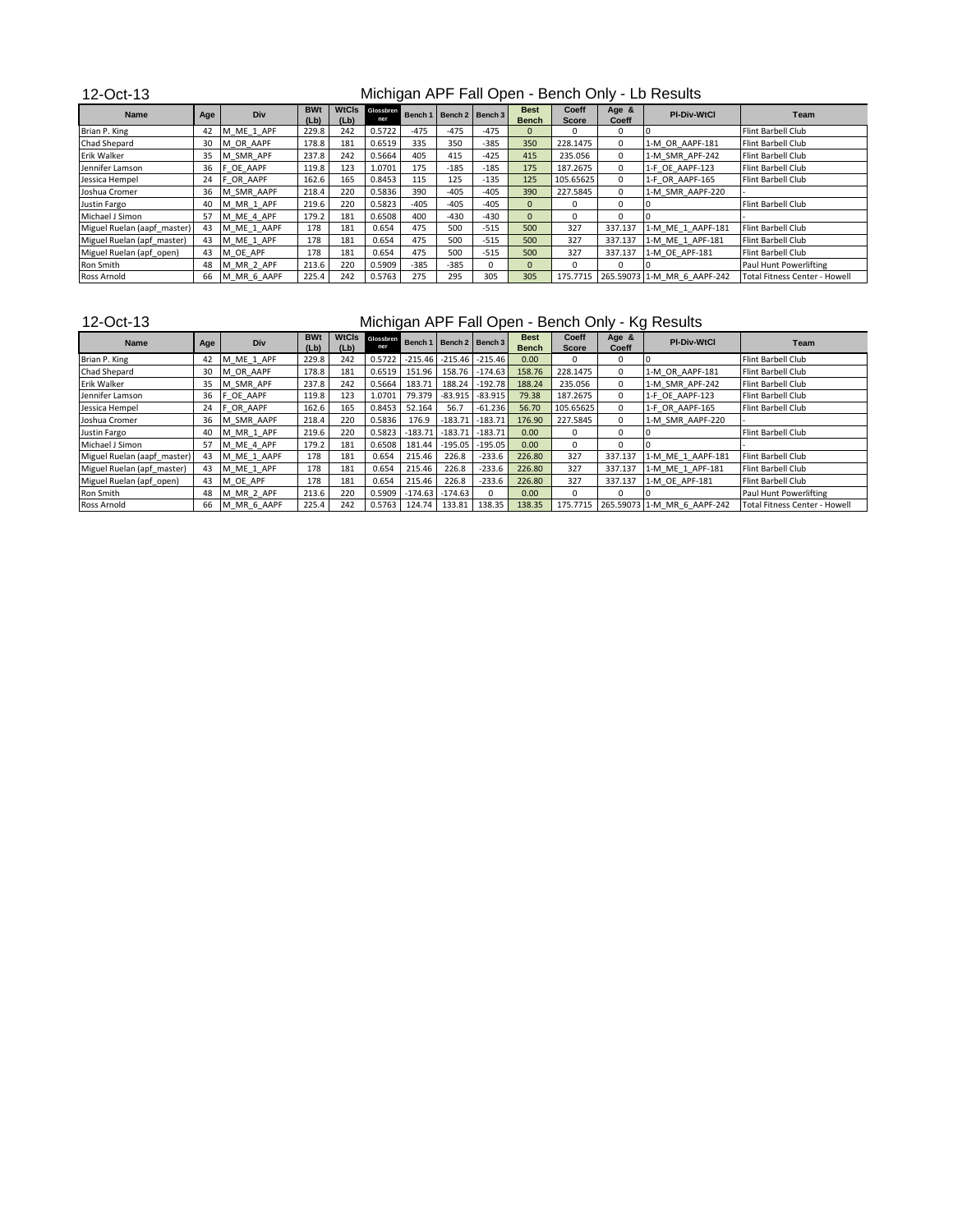12-Oct-13 **Name Age Div BWt (Lb) WtCls (Lb) Glossbren 1 Bench 1 Bench 2 Bench 3 Bench**<br>-475 -475 -475 0 **Bench Coeff Score Age & Coeff PI-Div-WtCl Team**<br> **Coeff CO CO CO CO CO C Flint Barbell Club** Brian P. King 42 M\_ME\_1\_APF 229.8 242 0.5722 -475 -475 -475 0 0 0 0 Flint Barbell Club Chad Shepard 30 M\_OR\_AAPF 178.8 181 0.6519 335 350 -385 350 228.1475 0 1-M\_OR\_AAPF-181 Flint Barbell Club Erik Walker 35 M\_SMR\_APF 237.8 242 0.5664 405 415 -425 415 235.056 0 1-M\_SMR\_APF-242 Flint Barbell Club Jennifer Lamson | 36 |F\_OE\_AAPF | 119.8 | 123 | 1.0701 | 175 | -185 | -185 | <mark>175 |</mark> 187.2675 | 0 |1-F\_OE\_AAPF-123 |Flint Barbell Club Jessica Hempel 24 F\_OR\_AAPF 162.6 165 0.8453 115 125 -135 125 105.65625 0 1-F\_OR\_AAPF-165 Flint Barbell Club Joshua Cromer 36 M\_SMR\_AAPF 218.4 220 0.5836 390 -405 -405 390 227.5845 0 1-M\_SMR\_AAPF-220 - Justin Fargo 40 M\_MR\_1\_APF 219.6 220 0.5823 -405 -405 -405 0 0 0 0 Flint Barbell Club Michael J Simon 57 | M\_ME\_4\_APF | 179.2 | 181 | 0.6508 | 300 | -430 | -430 | 0 | 0 | 0 | 0 | 0 | 0 | 0 | 0 | 0 Miguel Ruelan (aapf\_master) 43 M\_ME\_1\_AAPF 178 181 0.654 475 500 -515 500 327 337.137 1-M\_ME\_1\_AAPF-181 Flint Barbell Club<br>Miguel Ruelan (apf\_master) 43 M\_ME\_1\_APF 178 181 0.654 475 500 -515 500 327 337.137 1-M\_ME\_1\_APF-18 Miguel Ruelan (apf\_master) 43 M\_ME\_1\_APF 178 181 0.654 475 500 -515 500 327 337.137 1-M\_ME\_1\_APF-181 Flint Barbell Club<br>Miguel Ruelan (apf\_open) 43 M\_OE\_APF 178 181 0.654 475 500 -515 500 327 337.137 1-M\_OE\_APF-181 Flint B Miguel Ruelan (apf\_open) | 43 |M\_OE\_APF | 178 | 181 | 0.654 | 475 | 500 | -515 <mark>| 500 |</mark> 327 | 337.137 |1-M\_OE\_APF-181 | Flint Barbell Club Ron Smith 48 M\_MR\_2\_APF 213.6 220 0.5909 -385 -385 0 0 0 0 0 0 0 0 Paul Hunt Powerlifting<br>Ross Arnold 66 M\_MR\_6\_AAPF 225.4 242 0.5763 275 295 305 305 175.7715 265.59073 1-M\_MR\_6\_AAPF-242 Total Fitness Center - 1 Ross Arnold 66 M MR 6 AAPF 225.4 242 0.5763 275 295 305 305 175.7715 265.59073 1-M MR 6 AAPF-242 Total Fitness Center - Howell Michigan APF Fall Open - Bench Only - Lb Results

## 12-Oct-13

## Michigan APF Fall Open - Bench Only - Kg Results

| <b>Name</b>                 | Age | Div         | <b>BWt</b><br>(Lb) | (Lb) | WtCls Glossbren<br>ner |        |                     | Bench 1   Bench 2   Bench 3 | <b>Best</b><br><b>Bench</b> | Coeff<br><b>Score</b> | Age &<br>Coeff | <b>PI-Div-WtCl</b>                   | Team                          |
|-----------------------------|-----|-------------|--------------------|------|------------------------|--------|---------------------|-----------------------------|-----------------------------|-----------------------|----------------|--------------------------------------|-------------------------------|
| Brian P. King               | 42  | M ME 1 APF  | 229.8              | 242  | 0.5722                 |        | $-215.46$ $-215.46$ | $-215.46$                   | 0.00                        | 0                     | 0              |                                      | Flint Barbell Club            |
| <b>Chad Shepard</b>         | 30  | M OR AAPF   | 178.8              | 181  | 0.6519                 |        |                     | 151.96 158.76 -174.63       | 158.76                      | 228.1475              | 0              | 1-M OR AAPF-181                      | Flint Barbell Club            |
| Erik Walker                 | 35  | M SMR APF   | 237.8              | 242  | 0.5664                 | 183.71 |                     | 188.24 -192.78              | 188.24                      | 235.056               | $\Omega$       | 1-M SMR APF-242                      | Flint Barbell Club            |
| Jennifer Lamson             | 36  | F OE AAPF   | 119.8              | 123  | 1.0701                 |        |                     | 79.379 -83.915 -83.915      | 79.38                       | 187.2675              | $\Omega$       | 1-F OE AAPF-123                      | Flint Barbell Club            |
| Jessica Hempel              | 24  | F OR AAPF   | 162.6              | 165  | 0.8453                 | 52.164 | 56.7                | $-61.236$                   | 56.70                       | 105.65625             | $\Omega$       | 1-F OR AAPF-165                      | Flint Barbell Club            |
| Joshua Cromer               | 36  | M SMR AAPF  | 218.4              | 220  | 0.5836                 | 176.9  | $-183.71$           | $-183.71$                   | 176.90                      | 227.5845              | $\Omega$       | 1-M SMR AAPF-220                     |                               |
| Justin Fargo                | 40  | M MR 1 APF  | 219.6              | 220  | 0.5823                 |        | $-183.71$ $-183.71$ | $-183.71$                   | 0.00                        | 0                     | 0              |                                      | Flint Barbell Club            |
| Michael J Simon             | 57  | M ME 4 APF  | 179.2              | 181  | 0.6508                 | 181.44 |                     | $-195.05$ $-195.05$         | 0.00                        | 0.                    |                |                                      |                               |
| Miguel Ruelan (aapf master) | 43  | M ME 1 AAPF | 178                | 181  | 0.654                  | 215.46 | 226.8               | $-233.6$                    | 226.80                      | 327                   | 337.137        | 1-M ME 1 AAPF-181                    | Flint Barbell Club            |
| Miguel Ruelan (apf master)  | 43  | M ME 1 APF  | 178                | 181  | 0.654                  | 215.46 | 226.8               | $-233.6$                    | 226.80                      | 327                   | 337.137        | 1-M ME 1 APF-181                     | Flint Barbell Club            |
| Miguel Ruelan (apf open)    | 43  | M OE APF    | 178                | 181  | 0.654                  | 215.46 | 226.8               | $-233.6$                    | 226.80                      | 327                   | 337.137        | 1-M OE APF-181                       | Flint Barbell Club            |
| <b>Ron Smith</b>            | 48  | M MR 2 APF  | 213.6              | 220  | 0.5909                 |        | $-174.63 - 174.63$  | U                           | 0.00                        | 0                     | 0              |                                      | Paul Hunt Powerlifting        |
| Ross Arnold                 | 66  | M MR 6 AAPF | 225.4              | 242  | 0.5763                 |        | 124.74 133.81       | 138.35                      | 138.35                      |                       |                | 175.7715 265.59073 1-M MR 6 AAPF-242 | Total Fitness Center - Howell |